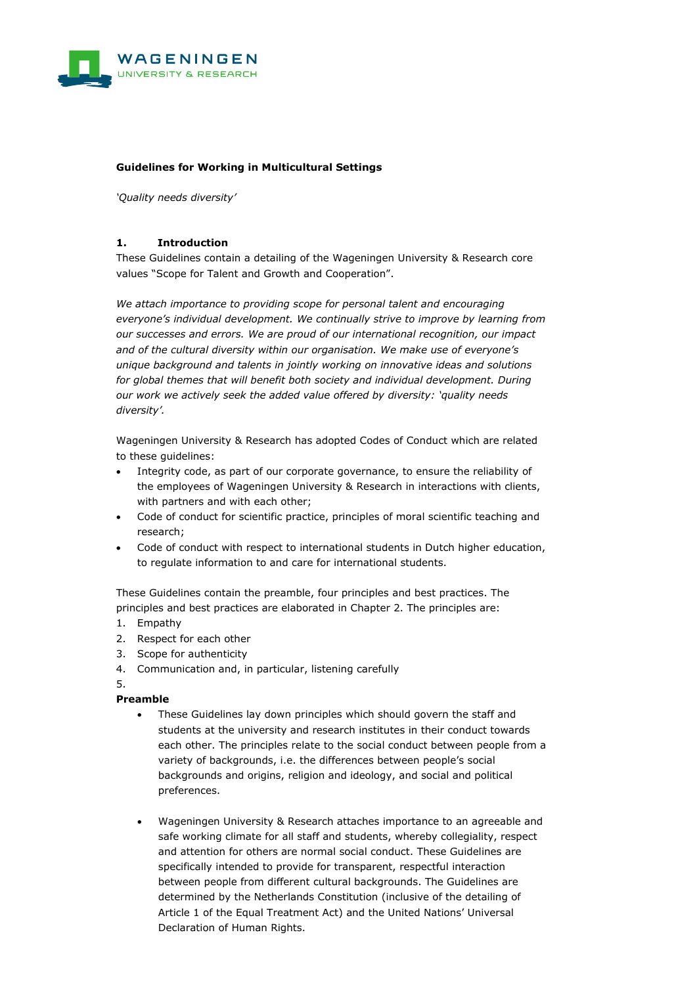

### **Guidelines for Working in Multicultural Settings**

*'Quality needs diversity'*

### **1. Introduction**

These Guidelines contain a detailing of the Wageningen University & Research core values "Scope for Talent and Growth and Cooperation".

*We attach importance to providing scope for personal talent and encouraging everyone's individual development. We continually strive to improve by learning from our successes and errors. We are proud of our international recognition, our impact and of the cultural diversity within our organisation. We make use of everyone's unique background and talents in jointly working on innovative ideas and solutions*  for global themes that will benefit both society and individual development. During *our work we actively seek the added value offered by diversity: 'quality needs diversity'.*

Wageningen University & Research has adopted Codes of Conduct which are related to these guidelines:

- Integrity code, as part of our corporate governance, to ensure the reliability of the employees of Wageningen University & Research in interactions with clients, with partners and with each other;
- Code of conduct for scientific practice, principles of moral scientific teaching and research;
- Code of conduct with respect to international students in Dutch higher education, to regulate information to and care for international students.

These Guidelines contain the preamble, four principles and best practices. The principles and best practices are elaborated in Chapter 2. The principles are:

- 1. Empathy
- 2. Respect for each other
- 3. Scope for authenticity
- 4. Communication and, in particular, listening carefully
- 5.

#### **Preamble**

- These Guidelines lay down principles which should govern the staff and students at the university and research institutes in their conduct towards each other. The principles relate to the social conduct between people from a variety of backgrounds, i.e. the differences between people's social backgrounds and origins, religion and ideology, and social and political preferences.
- Wageningen University & Research attaches importance to an agreeable and safe working climate for all staff and students, whereby collegiality, respect and attention for others are normal social conduct. These Guidelines are specifically intended to provide for transparent, respectful interaction between people from different cultural backgrounds. The Guidelines are determined by the Netherlands Constitution (inclusive of the detailing of Article 1 of the Equal Treatment Act) and the United Nations' Universal Declaration of Human Rights.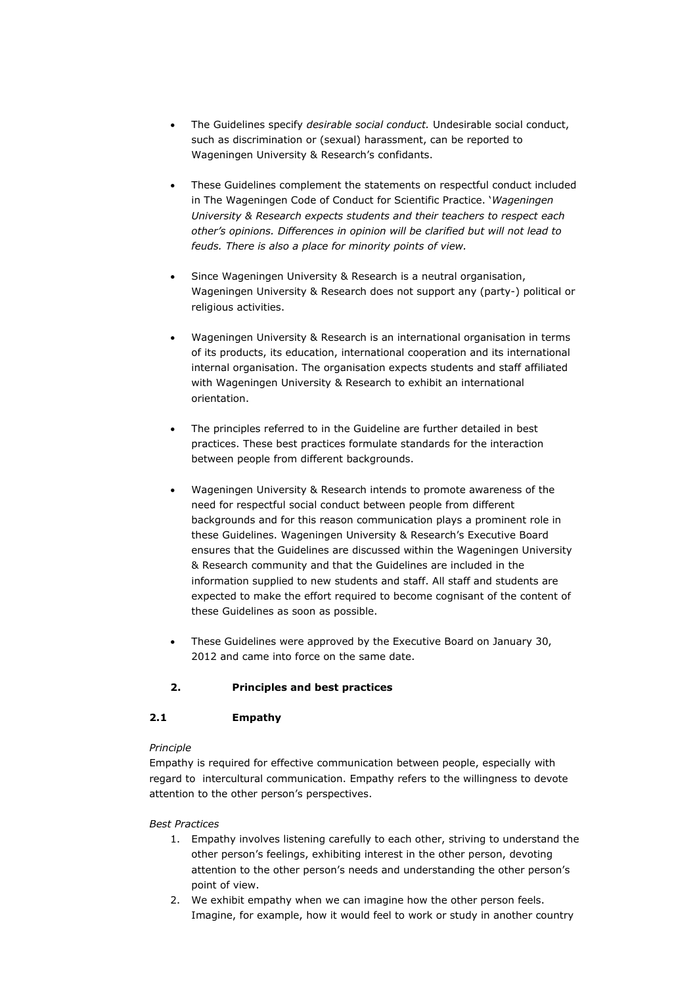- The Guidelines specify *desirable social conduct.* Undesirable social conduct, such as discrimination or (sexual) harassment, can be reported to Wageningen University & Research's confidants.
- These Guidelines complement the statements on respectful conduct included in The Wageningen Code of Conduct for Scientific Practice. '*Wageningen University & Research expects students and their teachers to respect each other's opinions. Differences in opinion will be clarified but will not lead to feuds. There is also a place for minority points of view.*
- Since Wageningen University & Research is a neutral organisation, Wageningen University & Research does not support any (party-) political or religious activities.
- Wageningen University & Research is an international organisation in terms of its products, its education, international cooperation and its international internal organisation. The organisation expects students and staff affiliated with Wageningen University & Research to exhibit an international orientation.
- The principles referred to in the Guideline are further detailed in best practices. These best practices formulate standards for the interaction between people from different backgrounds.
- Wageningen University & Research intends to promote awareness of the need for respectful social conduct between people from different backgrounds and for this reason communication plays a prominent role in these Guidelines. Wageningen University & Research's Executive Board ensures that the Guidelines are discussed within the Wageningen University & Research community and that the Guidelines are included in the information supplied to new students and staff. All staff and students are expected to make the effort required to become cognisant of the content of these Guidelines as soon as possible.
- These Guidelines were approved by the Executive Board on January 30, 2012 and came into force on the same date.

# **2. Principles and best practices**

#### **2.1 Empathy**

#### *Principle*

Empathy is required for effective communication between people, especially with regard to intercultural communication. Empathy refers to the willingness to devote attention to the other person's perspectives.

## *Best Practices*

- 1. Empathy involves listening carefully to each other, striving to understand the other person's feelings, exhibiting interest in the other person, devoting attention to the other person's needs and understanding the other person's point of view.
- 2. We exhibit empathy when we can imagine how the other person feels. Imagine, for example, how it would feel to work or study in another country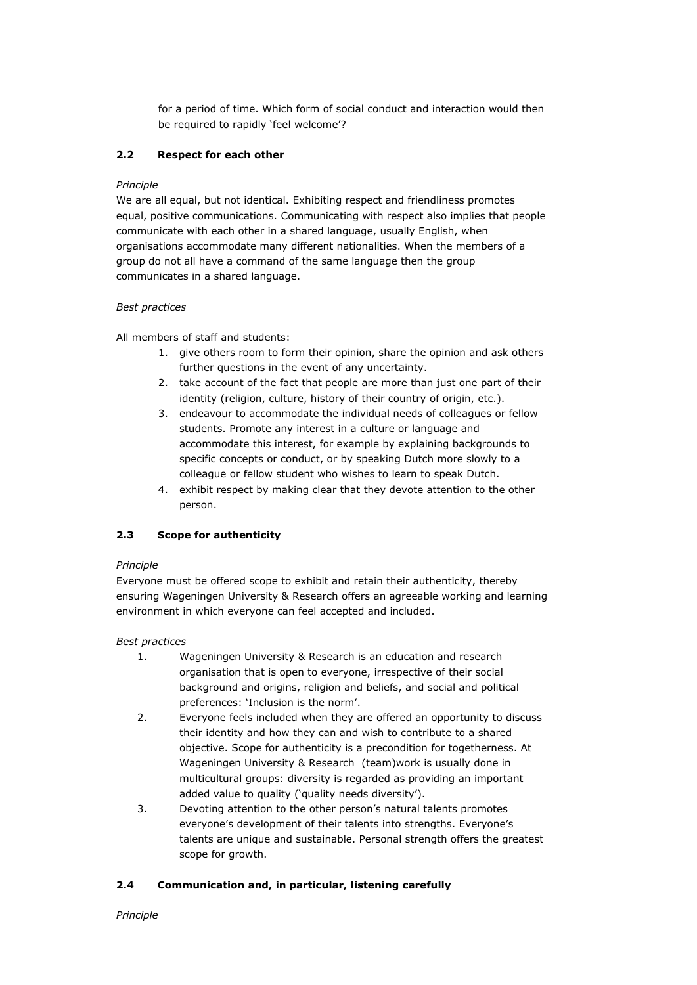for a period of time. Which form of social conduct and interaction would then be required to rapidly 'feel welcome'?

## **2.2 Respect for each other**

#### *Principle*

We are all equal, but not identical. Exhibiting respect and friendliness promotes equal, positive communications. Communicating with respect also implies that people communicate with each other in a shared language, usually English, when organisations accommodate many different nationalities. When the members of a group do not all have a command of the same language then the group communicates in a shared language.

#### *Best practices*

All members of staff and students:

- 1. give others room to form their opinion, share the opinion and ask others further questions in the event of any uncertainty.
- 2. take account of the fact that people are more than just one part of their identity (religion, culture, history of their country of origin, etc.).
- 3. endeavour to accommodate the individual needs of colleagues or fellow students. Promote any interest in a culture or language and accommodate this interest, for example by explaining backgrounds to specific concepts or conduct, or by speaking Dutch more slowly to a colleague or fellow student who wishes to learn to speak Dutch.
- 4. exhibit respect by making clear that they devote attention to the other person.

# **2.3 Scope for authenticity**

#### *Principle*

Everyone must be offered scope to exhibit and retain their authenticity, thereby ensuring Wageningen University & Research offers an agreeable working and learning environment in which everyone can feel accepted and included.

#### *Best practices*

- 1. Wageningen University & Research is an education and research organisation that is open to everyone, irrespective of their social background and origins, religion and beliefs, and social and political preferences: 'Inclusion is the norm'.
- 2. Everyone feels included when they are offered an opportunity to discuss their identity and how they can and wish to contribute to a shared objective. Scope for authenticity is a precondition for togetherness. At Wageningen University & Research (team)work is usually done in multicultural groups: diversity is regarded as providing an important added value to quality ('quality needs diversity').
- 3. Devoting attention to the other person's natural talents promotes everyone's development of their talents into strengths. Everyone's talents are unique and sustainable. Personal strength offers the greatest scope for growth.

# **2.4 Communication and, in particular, listening carefully**